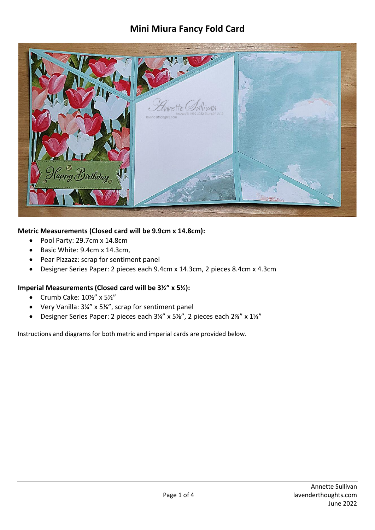## **Mini Miura Fancy Fold Card**



## **Metric Measurements (Closed card will be 9.9cm x 14.8cm):**

- Pool Party: 29.7cm x 14.8cm
- Basic White: 9.4cm x 14.3cm,
- Pear Pizzazz: scrap for sentiment panel
- Designer Series Paper: 2 pieces each 9.4cm x 14.3cm, 2 pieces 8.4cm x 4.3cm

## **Imperial Measurements (Closed card will be 3½" x 5½):**

- Crumb Cake:  $10\frac{1}{2}$ " x  $5\frac{1}{2}$ "
- Very Vanilla: 3¼" x 5⅛", scrap for sentiment panel
- Designer Series Paper: 2 pieces each 3¼" x 5⅛", 2 pieces each 2⅞" x 1⅝"

Instructions and diagrams for both metric and imperial cards are provided below.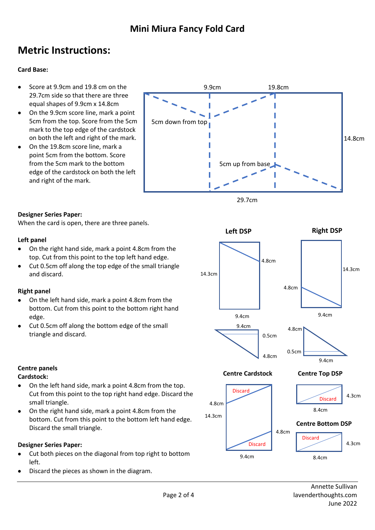# **Metric Instructions:**

### **Card Base:**

- Score at 9.9cm and 19.8 cm on the 29.7cm side so that there are three equal shapes of 9.9cm x 14.8cm
- On the 9.9cm score line, mark a point 5cm from the top. Score from the 5cm mark to the top edge of the cardstock on both the left and right of the mark.
- On the 19.8cm score line, mark a point 5cm from the bottom. Score from the 5cm mark to the bottom edge of the cardstock on both the left and right of the mark.



### **Designer Series Paper:**

When the card is open, there are three panels.

#### **Left panel**

- On the right hand side, mark a point 4.8cm from the top. Cut from this point to the top left hand edge.
- Cut 0.5cm off along the top edge of the small triangle and discard.

### **Right panel**

- On the left hand side, mark a point 4.8cm from the bottom. Cut from this point to the bottom right hand edge.
- Cut 0.5cm off along the bottom edge of the small triangle and discard.



### **Cardstock:**

- On the left hand side, mark a point 4.8cm from the top. Cut from this point to the top right hand edge. Discard the small triangle.
- On the right hand side, mark a point 4.8cm from the bottom. Cut from this point to the bottom left hand edge. Discard the small triangle.

### **Designer Series Paper:**

- Cut both pieces on the diagonal from top right to bottom left.
- Discard the pieces as shown in the diagram.

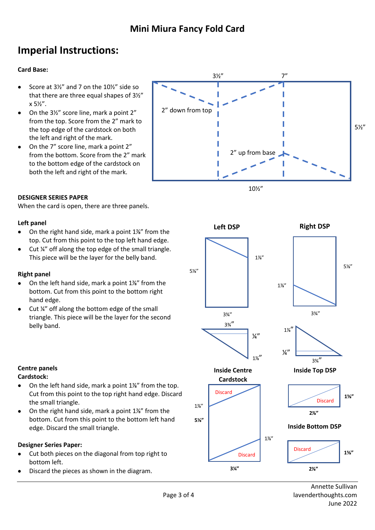# **Imperial Instructions:**

## **Card Base:**

- Score at 3½" and 7 on the 10½" side so that there are three equal shapes of 3½" x 5½".
- On the 3½" score line, mark a point 2" from the top. Score from the 2" mark to the top edge of the cardstock on both the left and right of the mark.
- On the 7" score line, mark a point 2" from the bottom. Score from the 2" mark to the bottom edge of the cardstock on both the left and right of the mark.

#### **DESIGNER SERIES PAPER**

When the card is open, there are three panels.

#### **Left panel**

- On the right hand side, mark a point 1⅞" from the top. Cut from this point to the top left hand edge.
- Cut ¼" off along the top edge of the small triangle. This piece will be the layer for the belly band.

### **Right panel**

- On the left hand side, mark a point 1⅞" from the bottom. Cut from this point to the bottom right hand edge.
- Cut  $\frac{1}{4}$  off along the bottom edge of the small triangle. This piece will be the layer for the second belly band.





## **Centre panels**

## **Cardstock:**

- On the left hand side, mark a point 1⅞" from the top. Cut from this point to the top right hand edge. Discard the small triangle.
- On the right hand side, mark a point 1⅞" from the bottom. Cut from this point to the bottom left hand edge. Discard the small triangle.

## **Designer Series Paper:**

- Cut both pieces on the diagonal from top right to bottom left.
- Discard the pieces as shown in the diagram.

Annette Sullivan Page 3 of 4 lavenderthoughts.com June 2022